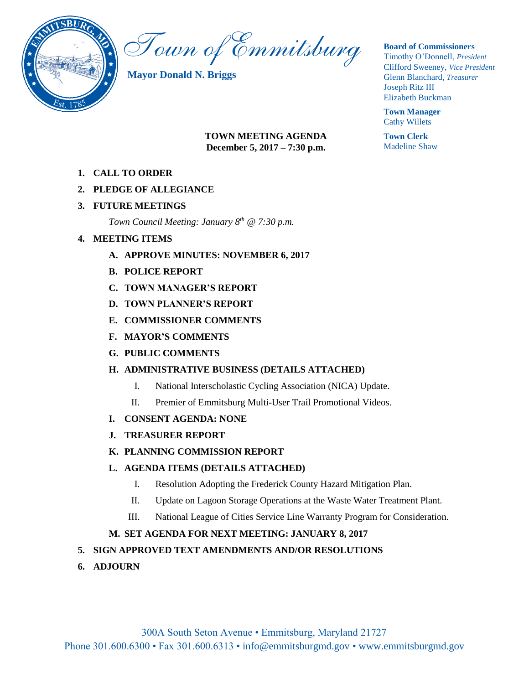

Town of Emmitsburg

**Mayor Donald N. Briggs**

#### **Board of Commissioners**

Timothy O'Donnell, *President*  Clifford Sweeney, *Vice President*  Glenn Blanchard, *Treasurer*  Joseph Ritz III Elizabeth Buckman

**Town Manager** Cathy Willets

**Town Clerk** Madeline Shaw

- **TOWN MEETING AGENDA December 5, 2017 – 7:30 p.m.**
- **1. CALL TO ORDER**
- **2. PLEDGE OF ALLEGIANCE**
- **3. FUTURE MEETINGS**

*Town Council Meeting: January 8th @ 7:30 p.m.*

- **4. MEETING ITEMS** 
	- **A. APPROVE MINUTES: NOVEMBER 6, 2017**
	- **B. POLICE REPORT**
	- **C. TOWN MANAGER'S REPORT**
	- **D. TOWN PLANNER'S REPORT**
	- **E. COMMISSIONER COMMENTS**
	- **F. MAYOR'S COMMENTS**
	- **G. PUBLIC COMMENTS**

## **H. ADMINISTRATIVE BUSINESS (DETAILS ATTACHED)**

- I. National Interscholastic Cycling Association (NICA) Update.
- II. Premier of Emmitsburg Multi-User Trail Promotional Videos.
- **I. CONSENT AGENDA: NONE**
- **J. TREASURER REPORT**
- **K. PLANNING COMMISSION REPORT**

## **L. AGENDA ITEMS (DETAILS ATTACHED)**

- I. Resolution Adopting the Frederick County Hazard Mitigation Plan.
- II. Update on Lagoon Storage Operations at the Waste Water Treatment Plant.
- III. National League of Cities Service Line Warranty Program for Consideration.

## **M. SET AGENDA FOR NEXT MEETING: JANUARY 8, 2017**

## **5. SIGN APPROVED TEXT AMENDMENTS AND/OR RESOLUTIONS**

**6. ADJOURN**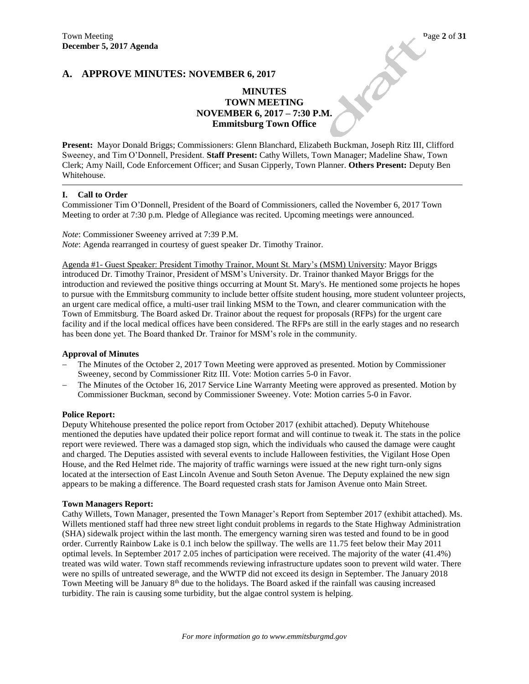**PERIOR** 

### **A. APPROVE MINUTES: NOVEMBER 6, 2017**

## **MINUTES TOWN MEETING NOVEMBER 6, 2017 – 7:30 P.M. Emmitsburg Town Office**

**Present:** Mayor Donald Briggs; Commissioners: Glenn Blanchard, Elizabeth Buckman, Joseph Ritz III, Clifford Sweeney, and Tim O'Donnell, President. **Staff Present:** Cathy Willets, Town Manager; Madeline Shaw, Town Clerk; Amy Naill, Code Enforcement Officer; and Susan Cipperly, Town Planner. **Others Present:** Deputy Ben Whitehouse.

#### **I. Call to Order**

Commissioner Tim O'Donnell, President of the Board of Commissioners, called the November 6, 2017 Town Meeting to order at 7:30 p.m. Pledge of Allegiance was recited. Upcoming meetings were announced.

*Note*: Commissioner Sweeney arrived at 7:39 P.M. *Note*: Agenda rearranged in courtesy of guest speaker Dr. Timothy Trainor.

Agenda #1- Guest Speaker: President Timothy Trainor, Mount St. Mary's (MSM) University: Mayor Briggs introduced Dr. Timothy Trainor, President of MSM's University. Dr. Trainor thanked Mayor Briggs for the introduction and reviewed the positive things occurring at Mount St. Mary's. He mentioned some projects he hopes to pursue with the Emmitsburg community to include better offsite student housing, more student volunteer projects, an urgent care medical office, a multi-user trail linking MSM to the Town, and clearer communication with the Town of Emmitsburg. The Board asked Dr. Trainor about the request for proposals (RFPs) for the urgent care facility and if the local medical offices have been considered. The RFPs are still in the early stages and no research has been done yet. The Board thanked Dr. Trainor for MSM's role in the community.

#### **Approval of Minutes**

- The Minutes of the October 2, 2017 Town Meeting were approved as presented. Motion by Commissioner Sweeney, second by Commissioner Ritz III. Vote: Motion carries 5-0 in Favor.
- The Minutes of the October 16, 2017 Service Line Warranty Meeting were approved as presented. Motion by Commissioner Buckman, second by Commissioner Sweeney. Vote: Motion carries 5-0 in Favor.

#### **Police Report:**

Deputy Whitehouse presented the police report from October 2017 (exhibit attached). Deputy Whitehouse mentioned the deputies have updated their police report format and will continue to tweak it. The stats in the police report were reviewed. There was a damaged stop sign, which the individuals who caused the damage were caught and charged. The Deputies assisted with several events to include Halloween festivities, the Vigilant Hose Open House, and the Red Helmet ride. The majority of traffic warnings were issued at the new right turn-only signs located at the intersection of East Lincoln Avenue and South Seton Avenue. The Deputy explained the new sign appears to be making a difference. The Board requested crash stats for Jamison Avenue onto Main Street.

#### **Town Managers Report:**

Cathy Willets, Town Manager, presented the Town Manager's Report from September 2017 (exhibit attached). Ms. Willets mentioned staff had three new street light conduit problems in regards to the State Highway Administration (SHA) sidewalk project within the last month. The emergency warning siren was tested and found to be in good order. Currently Rainbow Lake is 0.1 inch below the spillway. The wells are 11.75 feet below their May 2011 optimal levels. In September 2017 2.05 inches of participation were received. The majority of the water (41.4%) treated was wild water. Town staff recommends reviewing infrastructure updates soon to prevent wild water. There were no spills of untreated sewerage, and the WWTP did not exceed its design in September. The January 2018 Town Meeting will be January  $8<sup>th</sup>$  due to the holidays. The Board asked if the rainfall was causing increased turbidity. The rain is causing some turbidity, but the algae control system is helping.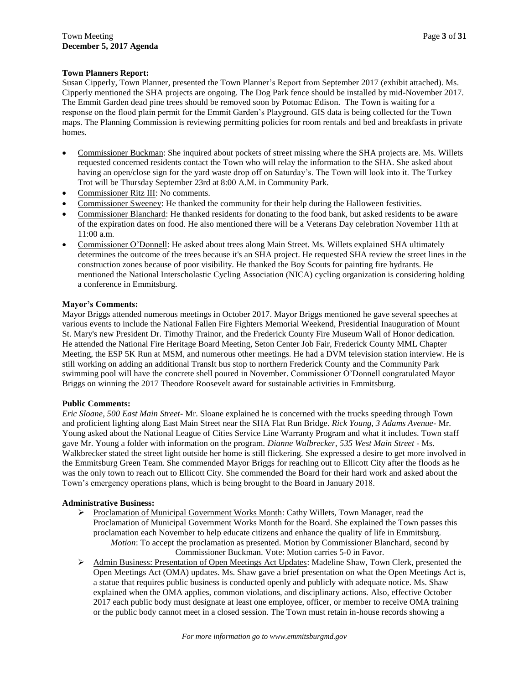### **Town Planners Report:**

Susan Cipperly, Town Planner, presented the Town Planner's Report from September 2017 (exhibit attached). Ms. Cipperly mentioned the SHA projects are ongoing. The Dog Park fence should be installed by mid-November 2017. The Emmit Garden dead pine trees should be removed soon by Potomac Edison. The Town is waiting for a response on the flood plain permit for the Emmit Garden's Playground. GIS data is being collected for the Town maps. The Planning Commission is reviewing permitting policies for room rentals and bed and breakfasts in private homes.

- Commissioner Buckman: She inquired about pockets of street missing where the SHA projects are. Ms. Willets requested concerned residents contact the Town who will relay the information to the SHA. She asked about having an open/close sign for the yard waste drop off on Saturday's. The Town will look into it. The Turkey Trot will be Thursday September 23rd at 8:00 A.M. in Community Park.
- Commissioner Ritz III: No comments.
- Commissioner Sweeney: He thanked the community for their help during the Halloween festivities.
- Commissioner Blanchard: He thanked residents for donating to the food bank, but asked residents to be aware of the expiration dates on food. He also mentioned there will be a Veterans Day celebration November 11th at 11:00 a.m.
- Commissioner O'Donnell: He asked about trees along Main Street. Ms. Willets explained SHA ultimately determines the outcome of the trees because it's an SHA project. He requested SHA review the street lines in the construction zones because of poor visibility. He thanked the Boy Scouts for painting fire hydrants. He mentioned the National Interscholastic Cycling Association (NICA) cycling organization is considering holding a conference in Emmitsburg.

#### **Mayor's Comments:**

Mayor Briggs attended numerous meetings in October 2017. Mayor Briggs mentioned he gave several speeches at various events to include the National Fallen Fire Fighters Memorial Weekend, Presidential Inauguration of Mount St. Mary's new President Dr. Timothy Trainor, and the Frederick County Fire Museum Wall of Honor dedication. He attended the National Fire Heritage Board Meeting, Seton Center Job Fair, Frederick County MML Chapter Meeting, the ESP 5K Run at MSM, and numerous other meetings. He had a DVM television station interview. He is still working on adding an additional TransIt bus stop to northern Frederick County and the Community Park swimming pool will have the concrete shell poured in November. Commissioner O'Donnell congratulated Mayor Briggs on winning the 2017 Theodore Roosevelt award for sustainable activities in Emmitsburg.

#### **Public Comments:**

*Eric Sloane, 500 East Main Street-* Mr. Sloane explained he is concerned with the trucks speeding through Town and proficient lighting along East Main Street near the SHA Flat Run Bridge. *Rick Young, 3 Adams Avenue*- Mr. Young asked about the National League of Cities Service Line Warranty Program and what it includes. Town staff gave Mr. Young a folder with information on the program. *Dianne Walbrecker, 535 West Main Street* - Ms. Walkbrecker stated the street light outside her home is still flickering. She expressed a desire to get more involved in the Emmitsburg Green Team. She commended Mayor Briggs for reaching out to Ellicott City after the floods as he was the only town to reach out to Ellicott City. She commended the Board for their hard work and asked about the Town's emergency operations plans, which is being brought to the Board in January 2018.

#### **Administrative Business:**

- ▶ Proclamation of Municipal Government Works Month: Cathy Willets, Town Manager, read the Proclamation of Municipal Government Works Month for the Board. She explained the Town passes this proclamation each November to help educate citizens and enhance the quality of life in Emmitsburg. *Motion*: To accept the proclamation as presented. Motion by Commissioner Blanchard, second by Commissioner Buckman. Vote: Motion carries 5-0 in Favor.
- Admin Business: Presentation of Open Meetings Act Updates: Madeline Shaw, Town Clerk, presented the Open Meetings Act (OMA) updates. Ms. Shaw gave a brief presentation on what the Open Meetings Act is, a statue that requires public business is conducted openly and publicly with adequate notice. Ms. Shaw explained when the OMA applies, common violations, and disciplinary actions. Also, effective October 2017 each public body must designate at least one employee, officer, or member to receive OMA training or the public body cannot meet in a closed session. The Town must retain in-house records showing a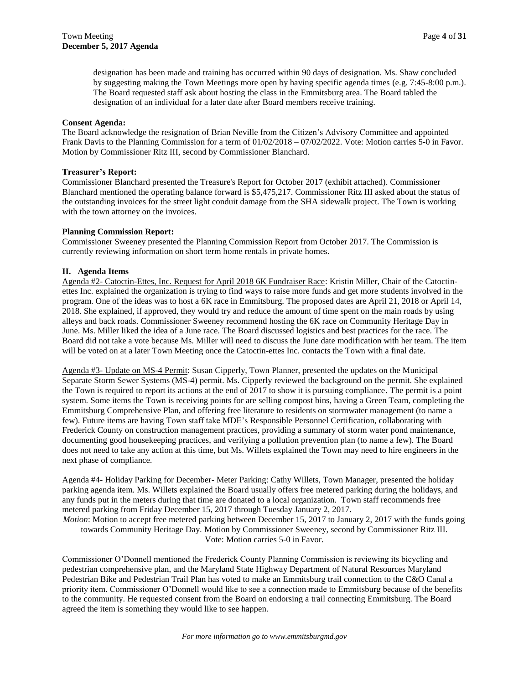designation has been made and training has occurred within 90 days of designation. Ms. Shaw concluded by suggesting making the Town Meetings more open by having specific agenda times (e.g. 7:45-8:00 p.m.). The Board requested staff ask about hosting the class in the Emmitsburg area. The Board tabled the designation of an individual for a later date after Board members receive training.

#### **Consent Agenda:**

The Board acknowledge the resignation of Brian Neville from the Citizen's Advisory Committee and appointed Frank Davis to the Planning Commission for a term of 01/02/2018 – 07/02/2022. Vote: Motion carries 5-0 in Favor. Motion by Commissioner Ritz III, second by Commissioner Blanchard.

#### **Treasurer's Report:**

Commissioner Blanchard presented the Treasure's Report for October 2017 (exhibit attached). Commissioner Blanchard mentioned the operating balance forward is \$5,475,217. Commissioner Ritz III asked about the status of the outstanding invoices for the street light conduit damage from the SHA sidewalk project. The Town is working with the town attorney on the invoices.

#### **Planning Commission Report:**

Commissioner Sweeney presented the Planning Commission Report from October 2017. The Commission is currently reviewing information on short term home rentals in private homes.

#### **II. Agenda Items**

Agenda #2- Catoctin-Ettes, Inc. Request for April 2018 6K Fundraiser Race: Kristin Miller, Chair of the Catoctinettes Inc. explained the organization is trying to find ways to raise more funds and get more students involved in the program. One of the ideas was to host a 6K race in Emmitsburg. The proposed dates are April 21, 2018 or April 14, 2018. She explained, if approved, they would try and reduce the amount of time spent on the main roads by using alleys and back roads. Commissioner Sweeney recommend hosting the 6K race on Community Heritage Day in June. Ms. Miller liked the idea of a June race. The Board discussed logistics and best practices for the race. The Board did not take a vote because Ms. Miller will need to discuss the June date modification with her team. The item will be voted on at a later Town Meeting once the Catoctin-ettes Inc. contacts the Town with a final date.

Agenda #3- Update on MS-4 Permit: Susan Cipperly, Town Planner, presented the updates on the Municipal Separate Storm Sewer Systems (MS-4) permit. Ms. Cipperly reviewed the background on the permit. She explained the Town is required to report its actions at the end of 2017 to show it is pursuing compliance. The permit is a point system. Some items the Town is receiving points for are selling compost bins, having a Green Team, completing the Emmitsburg Comprehensive Plan, and offering free literature to residents on stormwater management (to name a few). Future items are having Town staff take MDE's Responsible Personnel Certification, collaborating with Frederick County on construction management practices, providing a summary of storm water pond maintenance, documenting good housekeeping practices, and verifying a pollution prevention plan (to name a few). The Board does not need to take any action at this time, but Ms. Willets explained the Town may need to hire engineers in the next phase of compliance.

Agenda #4- Holiday Parking for December- Meter Parking: Cathy Willets, Town Manager, presented the holiday parking agenda item. Ms. Willets explained the Board usually offers free metered parking during the holidays, and any funds put in the meters during that time are donated to a local organization. Town staff recommends free metered parking from Friday December 15, 2017 through Tuesday January 2, 2017.

*Motion*: Motion to accept free metered parking between December 15, 2017 to January 2, 2017 with the funds going towards Community Heritage Day. Motion by Commissioner Sweeney, second by Commissioner Ritz III. Vote: Motion carries 5-0 in Favor.

Commissioner O'Donnell mentioned the Frederick County Planning Commission is reviewing its bicycling and pedestrian comprehensive plan, and the Maryland State Highway Department of Natural Resources Maryland Pedestrian Bike and Pedestrian Trail Plan has voted to make an Emmitsburg trail connection to the C&O Canal a priority item. Commissioner O'Donnell would like to see a connection made to Emmitsburg because of the benefits to the community. He requested consent from the Board on endorsing a trail connecting Emmitsburg. The Board agreed the item is something they would like to see happen.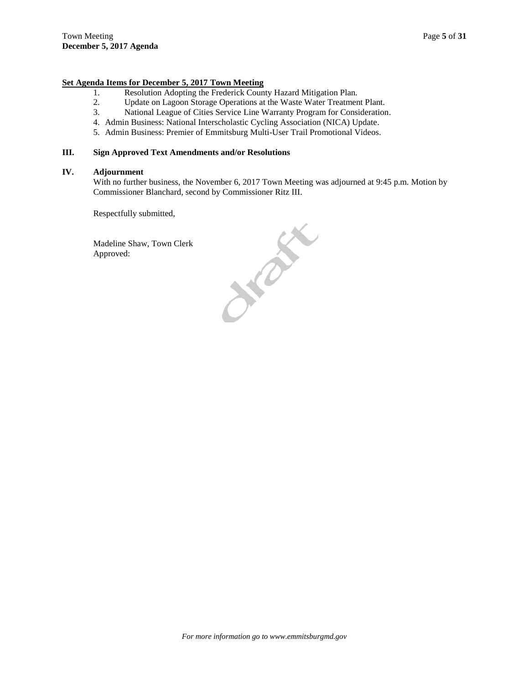#### **Set Agenda Items for December 5, 2017 Town Meeting**

- 1. Resolution Adopting the Frederick County Hazard Mitigation Plan.
- 2. Update on Lagoon Storage Operations at the Waste Water Treatment Plant.
- 3. National League of Cities Service Line Warranty Program for Consideration.
- 4. Admin Business: National Interscholastic Cycling Association (NICA) Update.
- 5. Admin Business: Premier of Emmitsburg Multi-User Trail Promotional Videos.

#### **III. Sign Approved Text Amendments and/or Resolutions**

#### **IV. Adjournment**

With no further business, the November 6, 2017 Town Meeting was adjourned at 9:45 p.m. Motion by Commissioner Blanchard, second by Commissioner Ritz III.

Respectfully submitted,

Madeline Shaw, Town Clerk Approved:

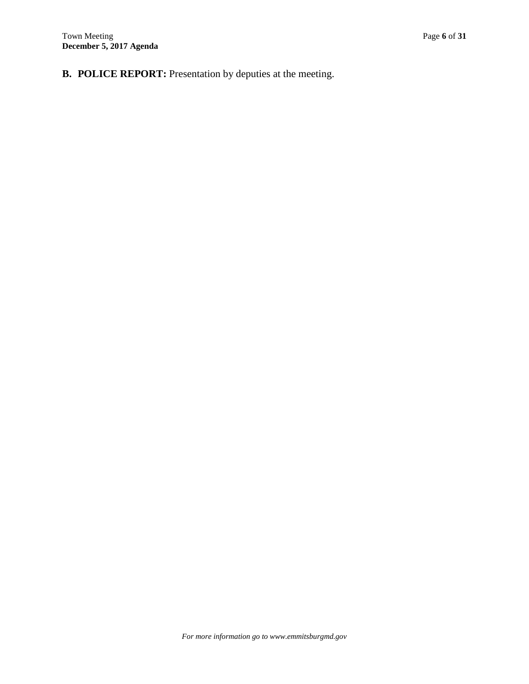**B. POLICE REPORT:** Presentation by deputies at the meeting.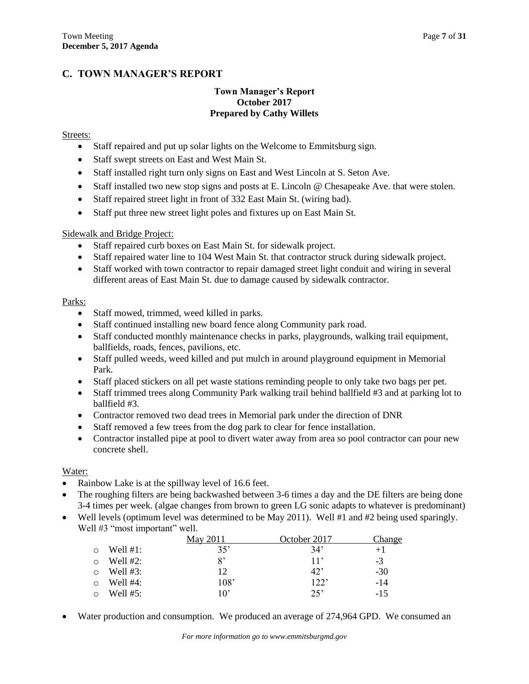## **C. TOWN MANAGER'S REPORT**

### **Town Manager's Report October 2017 Prepared by Cathy Willets**

### Streets:

- Staff repaired and put up solar lights on the Welcome to Emmitsburg sign.
- Staff swept streets on East and West Main St.
- Staff installed right turn only signs on East and West Lincoln at S. Seton Ave.
- $\bullet$  Staff installed two new stop signs and posts at E. Lincoln @ Chesapeake Ave. that were stolen.
- Staff repaired street light in front of 332 East Main St. (wiring bad).
- Staff put three new street light poles and fixtures up on East Main St.

### Sidewalk and Bridge Project:

- Staff repaired curb boxes on East Main St. for sidewalk project.
- Staff repaired water line to 104 West Main St. that contractor struck during sidewalk project.
- Staff worked with town contractor to repair damaged street light conduit and wiring in several different areas of East Main St. due to damage caused by sidewalk contractor.

### Parks:

- Staff mowed, trimmed, weed killed in parks.
- Staff continued installing new board fence along Community park road.
- Staff conducted monthly maintenance checks in parks, playgrounds, walking trail equipment, ballfields, roads, fences, pavilions, etc.
- Staff pulled weeds, weed killed and put mulch in around playground equipment in Memorial Park.
- Staff placed stickers on all pet waste stations reminding people to only take two bags per pet.
- Staff trimmed trees along Community Park walking trail behind ballfield #3 and at parking lot to ballfield #3.
- Contractor removed two dead trees in Memorial park under the direction of DNR
- Staff removed a few trees from the dog park to clear for fence installation.
- Contractor installed pipe at pool to divert water away from area so pool contractor can pour new concrete shell.

#### Water:

- Rainbow Lake is at the spillway level of 16.6 feet.
- The roughing filters are being backwashed between 3-6 times a day and the DE filters are being done 3-4 times per week. (algae changes from brown to green LG sonic adapts to whatever is predominant)
- Well levels (optimum level was determined to be May 2011). Well  $#1$  and  $#2$  being used sparingly. Well #3 "most important" well.

|            |             | May 2011     | October 2017 | Change |
|------------|-------------|--------------|--------------|--------|
| $\circ$    | Well $#1$ : | 35'          | 34'          | $+1$   |
| ◯          | Well $#2$ : | 8'           | 11'          | $-3$   |
| $\bigcirc$ | Well $#3$ : | 12           | 42           | $-30$  |
| $\circ$    | Well $#4$ : | 108'         | 122'         | $-14$  |
| $\Omega$   | Well $#5:$  | $10^{\circ}$ | 25'          | $-15$  |

Water production and consumption. We produced an average of 274,964 GPD. We consumed an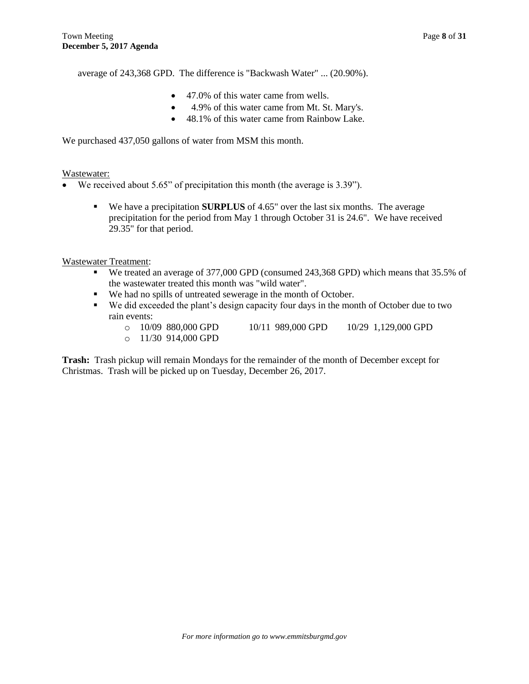average of 243,368 GPD. The difference is "Backwash Water" ... (20.90%).

- 47.0% of this water came from wells.
- 4.9% of this water came from Mt. St. Mary's.
- 48.1% of this water came from Rainbow Lake.

We purchased 437,050 gallons of water from MSM this month.

### Wastewater:

- We received about 5.65" of precipitation this month (the average is 3.39").
	- We have a precipitation **SURPLUS** of 4.65" over the last six months. The average precipitation for the period from May 1 through October 31 is 24.6". We have received 29.35" for that period.

### Wastewater Treatment:

- We treated an average of 377,000 GPD (consumed 243,368 GPD) which means that 35.5% of the wastewater treated this month was "wild water".
- We had no spills of untreated sewerage in the month of October.
- We did exceeded the plant's design capacity four days in the month of October due to two rain events:
	- o 10/09 880,000 GPD 10/11 989,000 GPD 10/29 1,129,000 GPD
	- o 11/30 914,000 GPD

**Trash:** Trash pickup will remain Mondays for the remainder of the month of December except for Christmas. Trash will be picked up on Tuesday, December 26, 2017.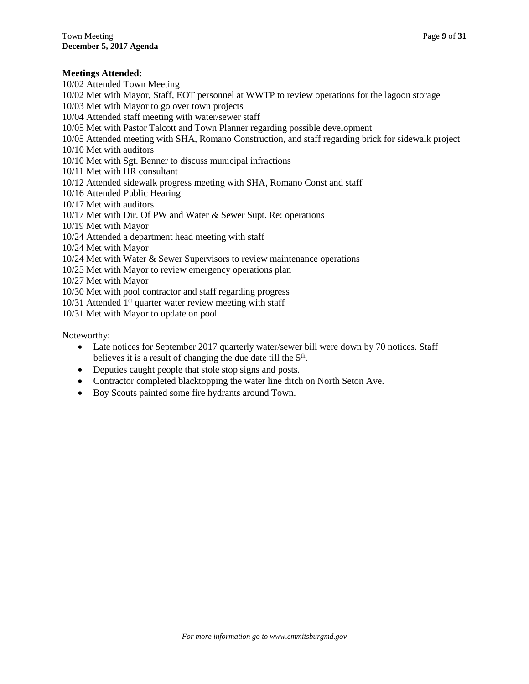### **Meetings Attended:**

10/02 Attended Town Meeting 10/02 Met with Mayor, Staff, EOT personnel at WWTP to review operations for the lagoon storage 10/03 Met with Mayor to go over town projects 10/04 Attended staff meeting with water/sewer staff 10/05 Met with Pastor Talcott and Town Planner regarding possible development 10/05 Attended meeting with SHA, Romano Construction, and staff regarding brick for sidewalk project 10/10 Met with auditors 10/10 Met with Sgt. Benner to discuss municipal infractions 10/11 Met with HR consultant 10/12 Attended sidewalk progress meeting with SHA, Romano Const and staff 10/16 Attended Public Hearing 10/17 Met with auditors 10/17 Met with Dir. Of PW and Water & Sewer Supt. Re: operations 10/19 Met with Mayor 10/24 Attended a department head meeting with staff 10/24 Met with Mayor 10/24 Met with Water & Sewer Supervisors to review maintenance operations 10/25 Met with Mayor to review emergency operations plan 10/27 Met with Mayor 10/30 Met with pool contractor and staff regarding progress  $10/31$  Attended 1<sup>st</sup> quarter water review meeting with staff

10/31 Met with Mayor to update on pool

Noteworthy:

- Late notices for September 2017 quarterly water/sewer bill were down by 70 notices. Staff believes it is a result of changing the due date till the  $5<sup>th</sup>$ .
- Deputies caught people that stole stop signs and posts.
- Contractor completed blacktopping the water line ditch on North Seton Ave.
- Boy Scouts painted some fire hydrants around Town.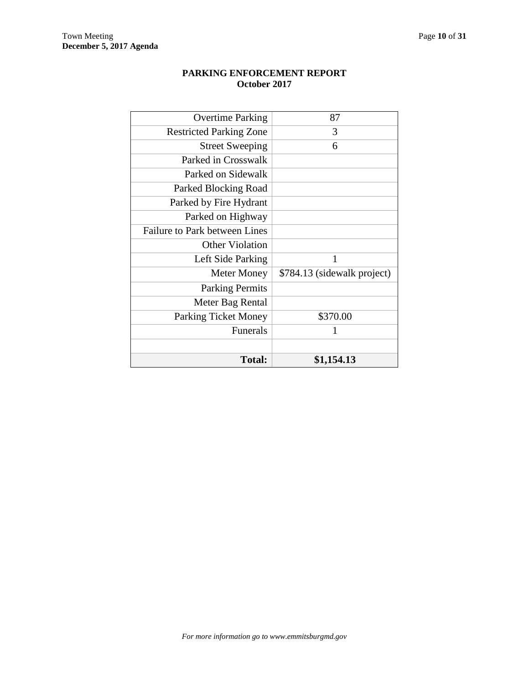| <b>Overtime Parking</b>              | 87                          |
|--------------------------------------|-----------------------------|
| <b>Restricted Parking Zone</b>       | 3                           |
| <b>Street Sweeping</b>               | 6                           |
| Parked in Crosswalk                  |                             |
| Parked on Sidewalk                   |                             |
| Parked Blocking Road                 |                             |
| Parked by Fire Hydrant               |                             |
| Parked on Highway                    |                             |
| <b>Failure to Park between Lines</b> |                             |
| <b>Other Violation</b>               |                             |
| Left Side Parking                    | 1                           |
| Meter Money                          | \$784.13 (sidewalk project) |
| <b>Parking Permits</b>               |                             |
| Meter Bag Rental                     |                             |
| <b>Parking Ticket Money</b>          | \$370.00                    |
| Funerals                             | 1                           |
|                                      |                             |
| <b>Total:</b>                        | \$1,154.13                  |

## **PARKING ENFORCEMENT REPORT October 2017**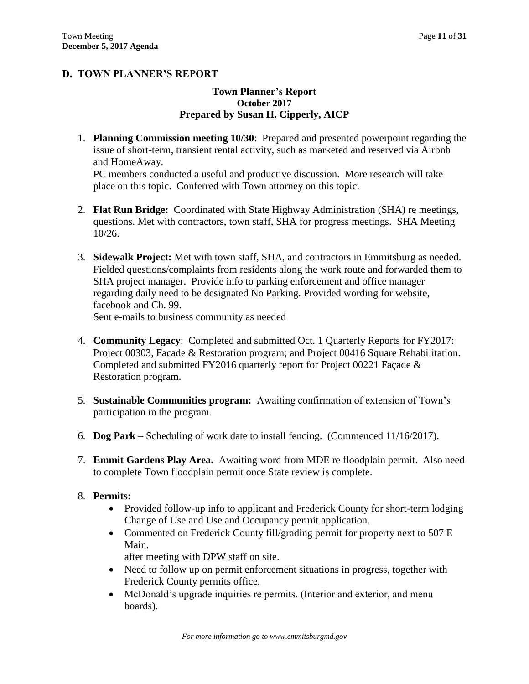## **D. TOWN PLANNER'S REPORT**

## **Town Planner's Report October 2017 Prepared by Susan H. Cipperly, AICP**

1. **Planning Commission meeting 10/30**: Prepared and presented powerpoint regarding the issue of short-term, transient rental activity, such as marketed and reserved via Airbnb and HomeAway.

PC members conducted a useful and productive discussion. More research will take place on this topic. Conferred with Town attorney on this topic.

- 2. **Flat Run Bridge:** Coordinated with State Highway Administration (SHA) re meetings, questions. Met with contractors, town staff, SHA for progress meetings. SHA Meeting 10/26.
- 3. **Sidewalk Project:** Met with town staff, SHA, and contractors in Emmitsburg as needed. Fielded questions/complaints from residents along the work route and forwarded them to SHA project manager. Provide info to parking enforcement and office manager regarding daily need to be designated No Parking. Provided wording for website, facebook and Ch. 99.

Sent e-mails to business community as needed

- 4. **Community Legacy**: Completed and submitted Oct. 1 Quarterly Reports for FY2017: Project 00303, Facade & Restoration program; and Project 00416 Square Rehabilitation. Completed and submitted FY2016 quarterly report for Project 00221 Façade & Restoration program.
- 5. **Sustainable Communities program:** Awaiting confirmation of extension of Town's participation in the program.
- 6. **Dog Park** Scheduling of work date to install fencing. (Commenced 11/16/2017).
- 7. **Emmit Gardens Play Area.** Awaiting word from MDE re floodplain permit. Also need to complete Town floodplain permit once State review is complete.

## 8. **Permits:**

- Provided follow-up info to applicant and Frederick County for short-term lodging Change of Use and Use and Occupancy permit application.
- Commented on Frederick County fill/grading permit for property next to 507 E Main.

after meeting with DPW staff on site.

- Need to follow up on permit enforcement situations in progress, together with Frederick County permits office.
- McDonald's upgrade inquiries re permits. (Interior and exterior, and menu boards).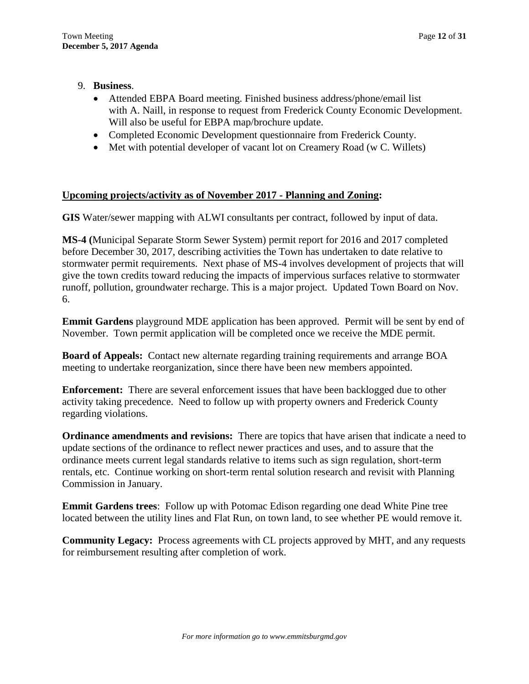## 9. **Business**.

- Attended EBPA Board meeting. Finished business address/phone/email list with A. Naill, in response to request from Frederick County Economic Development. Will also be useful for EBPA map/brochure update.
- Completed Economic Development questionnaire from Frederick County.
- Met with potential developer of vacant lot on Creamery Road (w C. Willets)

## **Upcoming projects/activity as of November 2017 - Planning and Zoning:**

**GIS** Water/sewer mapping with ALWI consultants per contract, followed by input of data.

**MS-4 (**Municipal Separate Storm Sewer System) permit report for 2016 and 2017 completed before December 30, 2017, describing activities the Town has undertaken to date relative to stormwater permit requirements. Next phase of MS-4 involves development of projects that will give the town credits toward reducing the impacts of impervious surfaces relative to stormwater runoff, pollution, groundwater recharge. This is a major project. Updated Town Board on Nov. 6.

**Emmit Gardens** playground MDE application has been approved. Permit will be sent by end of November. Town permit application will be completed once we receive the MDE permit.

**Board of Appeals:** Contact new alternate regarding training requirements and arrange BOA meeting to undertake reorganization, since there have been new members appointed.

**Enforcement:** There are several enforcement issues that have been backlogged due to other activity taking precedence. Need to follow up with property owners and Frederick County regarding violations.

**Ordinance amendments and revisions:** There are topics that have arisen that indicate a need to update sections of the ordinance to reflect newer practices and uses, and to assure that the ordinance meets current legal standards relative to items such as sign regulation, short-term rentals, etc. Continue working on short-term rental solution research and revisit with Planning Commission in January.

**Emmit Gardens trees**: Follow up with Potomac Edison regarding one dead White Pine tree located between the utility lines and Flat Run, on town land, to see whether PE would remove it.

**Community Legacy:** Process agreements with CL projects approved by MHT, and any requests for reimbursement resulting after completion of work.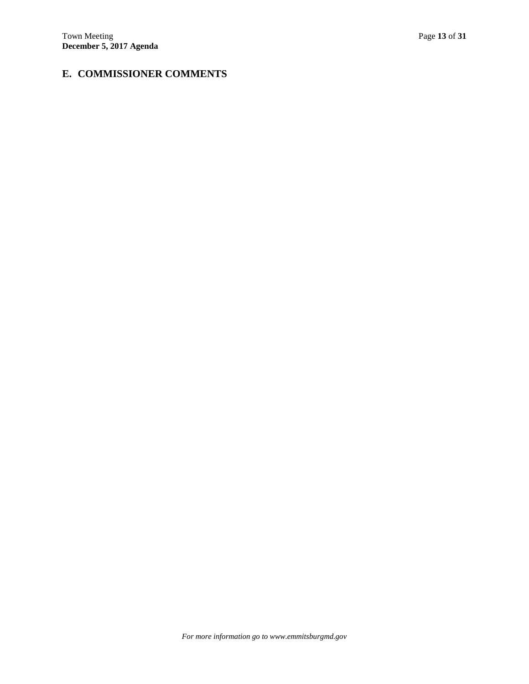## **E. COMMISSIONER COMMENTS**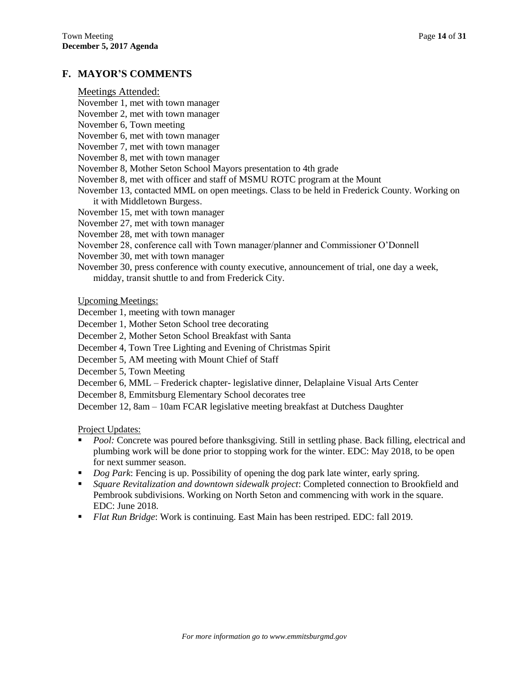## **F. MAYOR'S COMMENTS**

| Meetings Attended: |  |
|--------------------|--|
|--------------------|--|

- November 1, met with town manager
- November 2, met with town manager
- November 6, Town meeting
- November 6, met with town manager
- November 7, met with town manager
- November 8, met with town manager
- November 8, Mother Seton School Mayors presentation to 4th grade
- November 8, met with officer and staff of MSMU ROTC program at the Mount
- November 13, contacted MML on open meetings. Class to be held in Frederick County. Working on it with Middletown Burgess.
- November 15, met with town manager
- November 27, met with town manager
- November 28, met with town manager
- November 28, conference call with Town manager/planner and Commissioner O'Donnell
- November 30, met with town manager
- November 30, press conference with county executive, announcement of trial, one day a week, midday, transit shuttle to and from Frederick City.

Upcoming Meetings:

- December 1, meeting with town manager
- December 1, Mother Seton School tree decorating
- December 2, Mother Seton School Breakfast with Santa
- December 4, Town Tree Lighting and Evening of Christmas Spirit
- December 5, AM meeting with Mount Chief of Staff
- December 5, Town Meeting
- December 6, MML Frederick chapter- legislative dinner, Delaplaine Visual Arts Center
- December 8, Emmitsburg Elementary School decorates tree

December 12, 8am – 10am FCAR legislative meeting breakfast at Dutchess Daughter

Project Updates:

- **Pool:** Concrete was poured before thanksgiving. Still in settling phase. Back filling, electrical and plumbing work will be done prior to stopping work for the winter. EDC: May 2018, to be open for next summer season.
- *Dog Park*: Fencing is up. Possibility of opening the dog park late winter, early spring.
- *Square Revitalization and downtown sidewalk project*: Completed connection to Brookfield and Pembrook subdivisions. Working on North Seton and commencing with work in the square. EDC: June 2018.
- *Flat Run Bridge*: Work is continuing. East Main has been restriped. EDC: fall 2019.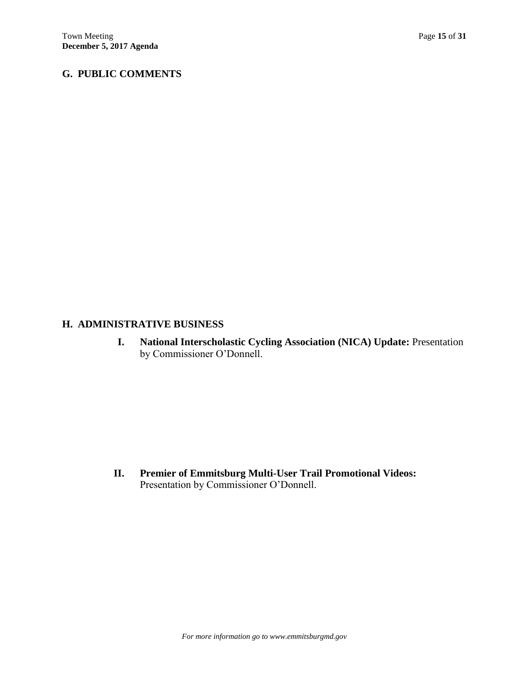## **G. PUBLIC COMMENTS**

## **H. ADMINISTRATIVE BUSINESS**

**I. National Interscholastic Cycling Association (NICA) Update:** Presentation by Commissioner O'Donnell.

**II. Premier of Emmitsburg Multi-User Trail Promotional Videos:**  Presentation by Commissioner O'Donnell.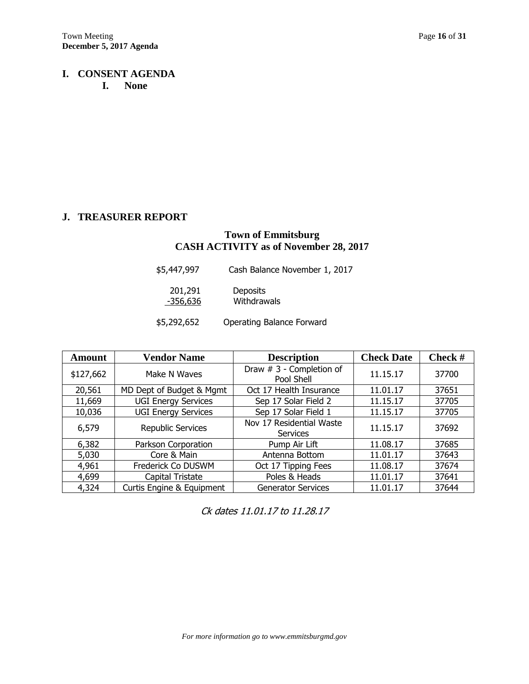## **I. CONSENT AGENDA I. None**

## **J. TREASURER REPORT**

## **Town of Emmitsburg CASH ACTIVITY as of November 28, 2017**

| \$5,447,997 | Cash Balance November 1, 2017 |
|-------------|-------------------------------|
| 201,291     | <b>Deposits</b>               |
| -356,636    | Withdrawals                   |

| <b>Amount</b> | <b>Vendor Name</b>         | <b>Description</b>                          | <b>Check Date</b> | Check # |
|---------------|----------------------------|---------------------------------------------|-------------------|---------|
| \$127,662     | Make N Waves               | Draw # 3 - Completion of<br>Pool Shell      | 11.15.17          | 37700   |
| 20,561        | MD Dept of Budget & Mgmt   | Oct 17 Health Insurance                     | 11.01.17          | 37651   |
| 11,669        | <b>UGI Energy Services</b> | Sep 17 Solar Field 2                        | 11.15.17          | 37705   |
| 10,036        | <b>UGI Energy Services</b> | Sep 17 Solar Field 1                        | 11.15.17          | 37705   |
| 6,579         | Republic Services          | Nov 17 Residential Waste<br><b>Services</b> | 11.15.17          | 37692   |
| 6,382         | Parkson Corporation        | Pump Air Lift                               | 11.08.17          | 37685   |
| 5,030         | Core & Main                | Antenna Bottom                              | 11.01.17          | 37643   |
| 4,961         | Frederick Co DUSWM         | Oct 17 Tipping Fees                         | 11.08.17          | 37674   |
| 4,699         | Capital Tristate           | Poles & Heads                               | 11.01.17          | 37641   |
| 4,324         | Curtis Engine & Equipment  | <b>Generator Services</b>                   | 11.01.17          | 37644   |

Ck dates 11.01.17 to 11.28.17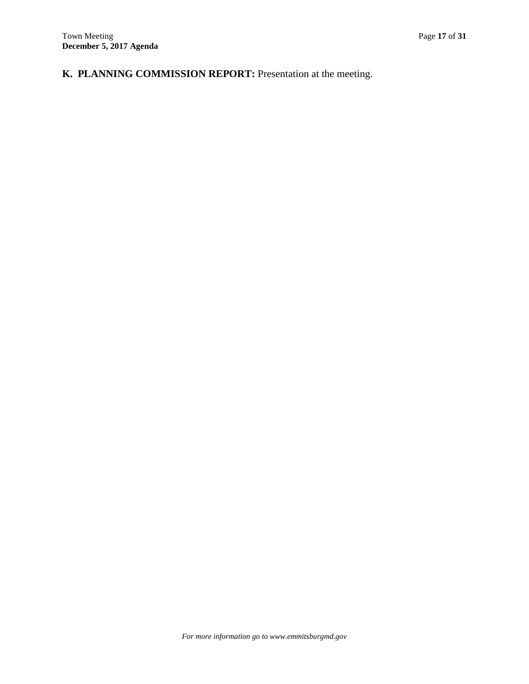# **K. PLANNING COMMISSION REPORT:** Presentation at the meeting.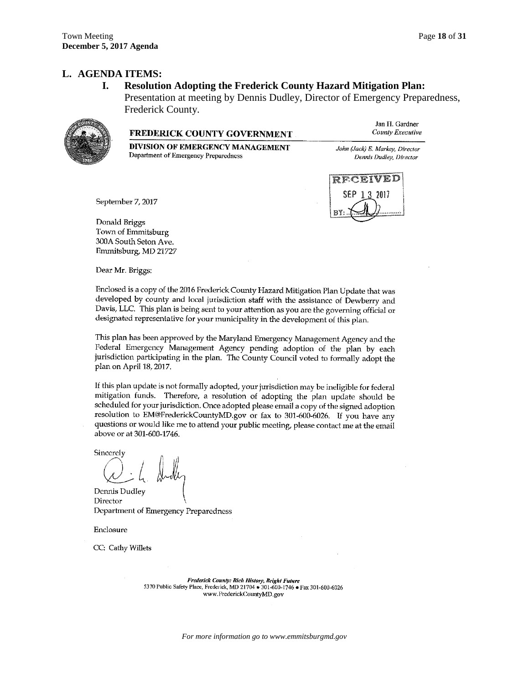### **L. AGENDA ITEMS:**

### **I. Resolution Adopting the Frederick County Hazard Mitigation Plan:**

Presentation at meeting by Dennis Dudley, Director of Emergency Preparedness, Frederick County.



#### **FREDERICK COUNTY GOVERNMENT**

DIVISION OF EMERGENCY MANAGEMENT Department of Emergency Preparedness

Jan H. Gardner County Executive

John (Jack) E. Markey, Director Dennis Dudley, Director



September 7, 2017

Donald Briggs Town of Emmitsburg 300A South Seton Ave. Emmitsburg, MD 21727

Dear Mr. Briggs:

Enclosed is a copy of the 2016 Frederick County Hazard Mitigation Plan Update that was developed by county and local jurisdiction staff with the assistance of Dewberry and Davis, LLC. This plan is being sent to your attention as you are the governing official or designated representative for your municipality in the development of this plan.

This plan has been approved by the Maryland Emergency Management Agency and the Federal Emergency Management Agency pending adoption of the plan by each jurisdiction participating in the plan. The County Council voted to formally adopt the plan on April 18, 2017.

If this plan update is not formally adopted, your jurisdiction may be ineligible for federal mitigation funds. Therefore, a resolution of adopting the plan update should be scheduled for your jurisdiction. Once adopted please email a copy of the signed adoption resolution to EM@FrederickCountyMD.gov or fax to 301-600-6026. If you have any questions or would like me to attend your public meeting, please contact me at the email above or at 301-600-1746.

Sincerely

Dennis Dudley Director Department of Emergency Preparedness

Enclosure

CC: Cathy Willets

Frederick County: Rich History, Bright Future 5370 Public Safety Place, Frederick, MD 21704 • 301-600-1746 • Fax 301-600-6026 www.FrederickCountyMD.gov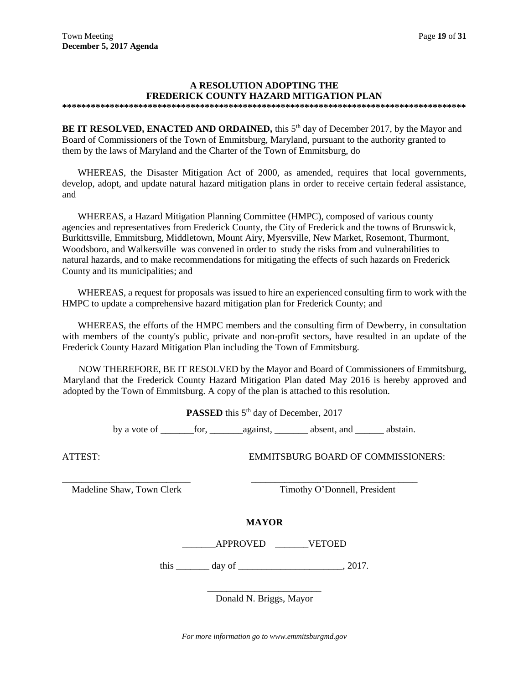### **A RESOLUTION ADOPTING THE FREDERICK COUNTY HAZARD MITIGATION PLAN**

**\*\*\*\*\*\*\*\*\*\*\*\*\*\*\*\*\*\*\*\*\*\*\*\*\*\*\*\*\*\*\*\*\*\*\*\*\*\*\*\*\*\*\*\*\*\*\*\*\*\*\*\*\*\*\*\*\*\*\*\*\*\*\*\*\*\*\*\*\*\*\*\*\*\*\*\*\*\*\*\*\*\*\*\*\***

**BE IT RESOLVED, ENACTED AND ORDAINED,** this 5<sup>th</sup> day of December 2017, by the Mayor and Board of Commissioners of the Town of Emmitsburg, Maryland, pursuant to the authority granted to them by the laws of Maryland and the Charter of the Town of Emmitsburg, do

WHEREAS, the Disaster Mitigation Act of 2000, as amended, requires that local governments, develop, adopt, and update natural hazard mitigation plans in order to receive certain federal assistance, and

WHEREAS, a Hazard Mitigation Planning Committee (HMPC), composed of various county agencies and representatives from Frederick County, the City of Frederick and the towns of Brunswick, Burkittsville, Emmitsburg, Middletown, Mount Airy, Myersville, New Market, Rosemont, Thurmont, Woodsboro, and Walkersville was convened in order to study the risks from and vulnerabilities to natural hazards, and to make recommendations for mitigating the effects of such hazards on Frederick County and its municipalities; and

WHEREAS, a request for proposals was issued to hire an experienced consulting firm to work with the HMPC to update a comprehensive hazard mitigation plan for Frederick County; and

WHEREAS, the efforts of the HMPC members and the consulting firm of Dewberry, in consultation with members of the county's public, private and non-profit sectors, have resulted in an update of the Frederick County Hazard Mitigation Plan including the Town of Emmitsburg.

NOW THEREFORE, BE IT RESOLVED by the Mayor and Board of Commissioners of Emmitsburg, Maryland that the Frederick County Hazard Mitigation Plan dated May 2016 is hereby approved and adopted by the Town of Emmitsburg. A copy of the plan is attached to this resolution.

**PASSED** this 5<sup>th</sup> day of December, 2017

by a vote of \_\_\_\_\_\_\_for, \_\_\_\_\_\_\_against, \_\_\_\_\_\_\_ absent, and \_\_\_\_\_\_ abstain.

ATTEST: EMMITSBURG BOARD OF COMMISSIONERS:

Madeline Shaw, Town Clerk Timothy O'Donnell, President

**MAYOR**

\_\_\_\_\_\_\_\_\_\_\_\_\_\_\_\_\_\_\_\_\_\_\_\_\_\_\_ \_\_\_\_\_\_\_\_\_\_\_\_\_\_\_\_\_\_\_\_\_\_\_\_\_\_\_\_\_\_\_\_\_\_\_

\_\_\_\_\_\_\_APPROVED \_\_\_\_\_\_\_VETOED

this  $\frac{day \text{ of } (x,y) - (x,y) \text{ of } (x,y) - (y,y) \text{ of } (x,y) \text{ of } (x,y) \text{ of } (x,y) \text{ of } (x,y)$ 

\_\_\_\_\_\_\_\_\_\_\_\_\_\_\_\_\_\_\_\_\_\_\_\_ Donald N. Briggs, Mayor

*For more information go to www.emmitsburgmd.gov*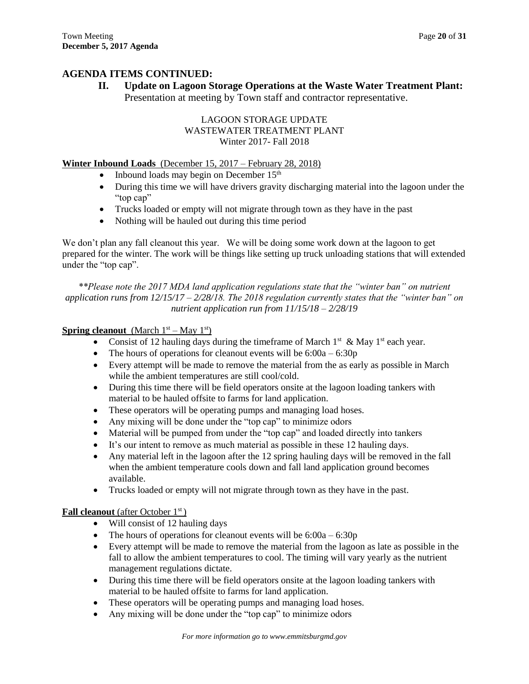## **AGENDA ITEMS CONTINUED:**

**II. Update on Lagoon Storage Operations at the Waste Water Treatment Plant:** 

Presentation at meeting by Town staff and contractor representative.

## LAGOON STORAGE UPDATE WASTEWATER TREATMENT PLANT Winter 2017- Fall 2018

## **Winter Inbound Loads** (December 15, 2017 – February 28, 2018)

- Inbound loads may begin on December 15th
- During this time we will have drivers gravity discharging material into the lagoon under the "top cap"
- Trucks loaded or empty will not migrate through town as they have in the past
- Nothing will be hauled out during this time period

We don't plan any fall cleanout this year. We will be doing some work down at the lagoon to get prepared for the winter. The work will be things like setting up truck unloading stations that will extended under the "top cap".

*\*\*Please note the 2017 MDA land application regulations state that the "winter ban" on nutrient application runs from 12/15/17 – 2/28/18. The 2018 regulation currently states that the "winter ban" on nutrient application run from 11/15/18 – 2/28/19*

## **Spring cleanout** (March  $1^{st}$  – May  $1^{st}$ )

- Consist of 12 hauling days during the timeframe of March  $1^{st}$  & May  $1^{st}$  each year.
- The hours of operations for cleanout events will be  $6:00a 6:30p$
- Every attempt will be made to remove the material from the as early as possible in March while the ambient temperatures are still cool/cold.
- During this time there will be field operators onsite at the lagoon loading tankers with material to be hauled offsite to farms for land application.
- These operators will be operating pumps and managing load hoses.
- Any mixing will be done under the "top cap" to minimize odors
- Material will be pumped from under the "top cap" and loaded directly into tankers
- It's our intent to remove as much material as possible in these 12 hauling days.
- Any material left in the lagoon after the 12 spring hauling days will be removed in the fall when the ambient temperature cools down and fall land application ground becomes available.
- Trucks loaded or empty will not migrate through town as they have in the past.

### **Fall cleanout** (after October 1<sup>st</sup>)

- Will consist of 12 hauling days
- The hours of operations for cleanout events will be  $6:00a 6:30p$
- Every attempt will be made to remove the material from the lagoon as late as possible in the fall to allow the ambient temperatures to cool. The timing will vary yearly as the nutrient management regulations dictate.
- During this time there will be field operators onsite at the lagoon loading tankers with material to be hauled offsite to farms for land application.
- These operators will be operating pumps and managing load hoses.
- Any mixing will be done under the "top cap" to minimize odors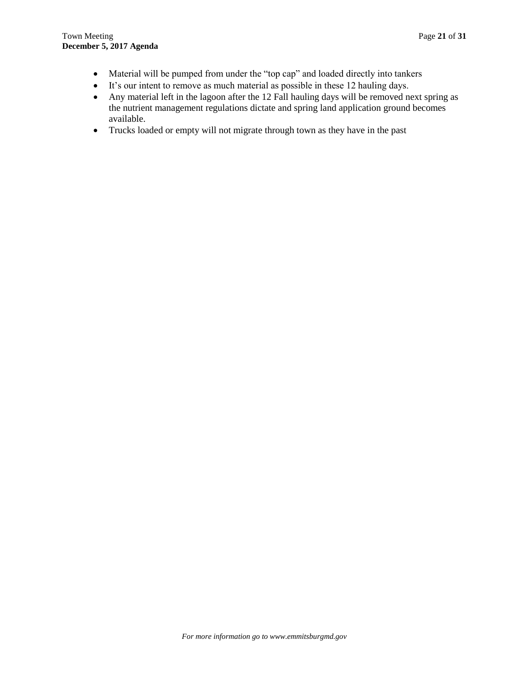- Material will be pumped from under the "top cap" and loaded directly into tankers
- It's our intent to remove as much material as possible in these 12 hauling days.
- Any material left in the lagoon after the 12 Fall hauling days will be removed next spring as the nutrient management regulations dictate and spring land application ground becomes available.
- Trucks loaded or empty will not migrate through town as they have in the past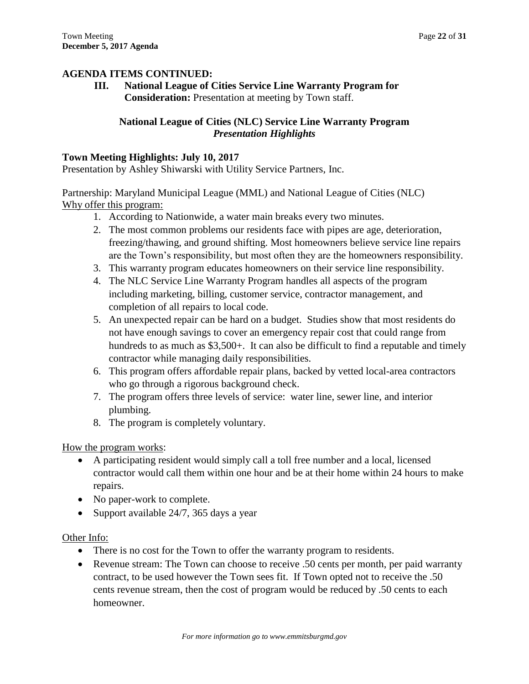**AGENDA ITEMS CONTINUED: III. National League of Cities Service Line Warranty Program for Consideration:** Presentation at meeting by Town staff.

## **National League of Cities (NLC) Service Line Warranty Program** *Presentation Highlights*

## **Town Meeting Highlights: July 10, 2017**

Presentation by Ashley Shiwarski with Utility Service Partners, Inc.

Partnership: Maryland Municipal League (MML) and National League of Cities (NLC) Why offer this program:

- 1. According to Nationwide, a water main breaks every two minutes.
- 2. The most common problems our residents face with pipes are age, deterioration, freezing/thawing, and ground shifting. Most homeowners believe service line repairs are the Town's responsibility, but most often they are the homeowners responsibility.
- 3. This warranty program educates homeowners on their service line responsibility.
- 4. The NLC Service Line Warranty Program handles all aspects of the program including marketing, billing, customer service, contractor management, and completion of all repairs to local code.
- 5. An unexpected repair can be hard on a budget. Studies show that most residents do not have enough savings to cover an emergency repair cost that could range from hundreds to as much as \$3,500+. It can also be difficult to find a reputable and timely contractor while managing daily responsibilities.
- 6. This program offers affordable repair plans, backed by vetted local-area contractors who go through a rigorous background check.
- 7. The program offers three levels of service: water line, sewer line, and interior plumbing.
- 8. The program is completely voluntary.

How the program works:

- A participating resident would simply call a toll free number and a local, licensed contractor would call them within one hour and be at their home within 24 hours to make repairs.
- No paper-work to complete.
- Support available 24/7, 365 days a year

## Other Info:

- There is no cost for the Town to offer the warranty program to residents.
- Revenue stream: The Town can choose to receive .50 cents per month, per paid warranty contract, to be used however the Town sees fit. If Town opted not to receive the .50 cents revenue stream, then the cost of program would be reduced by .50 cents to each homeowner.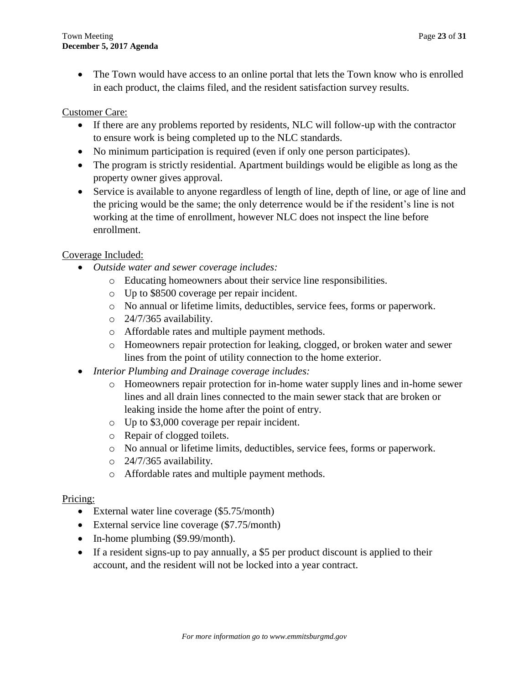• The Town would have access to an online portal that lets the Town know who is enrolled in each product, the claims filed, and the resident satisfaction survey results.

## Customer Care:

- If there are any problems reported by residents, NLC will follow-up with the contractor to ensure work is being completed up to the NLC standards.
- No minimum participation is required (even if only one person participates).
- The program is strictly residential. Apartment buildings would be eligible as long as the property owner gives approval.
- Service is available to anyone regardless of length of line, depth of line, or age of line and the pricing would be the same; the only deterrence would be if the resident's line is not working at the time of enrollment, however NLC does not inspect the line before enrollment.

## Coverage Included:

- *Outside water and sewer coverage includes:*
	- o Educating homeowners about their service line responsibilities.
	- o Up to \$8500 coverage per repair incident.
	- o No annual or lifetime limits, deductibles, service fees, forms or paperwork.
	- o 24/7/365 availability.
	- o Affordable rates and multiple payment methods.
	- o Homeowners repair protection for leaking, clogged, or broken water and sewer lines from the point of utility connection to the home exterior.
- *Interior Plumbing and Drainage coverage includes:*
	- o Homeowners repair protection for in-home water supply lines and in-home sewer lines and all drain lines connected to the main sewer stack that are broken or leaking inside the home after the point of entry.
	- o Up to \$3,000 coverage per repair incident.
	- o Repair of clogged toilets.
	- o No annual or lifetime limits, deductibles, service fees, forms or paperwork.
	- o 24/7/365 availability.
	- o Affordable rates and multiple payment methods.

## Pricing:

- External water line coverage (\$5.75/month)
- External service line coverage (\$7.75/month)
- In-home plumbing (\$9.99/month).
- If a resident signs-up to pay annually, a \$5 per product discount is applied to their account, and the resident will not be locked into a year contract.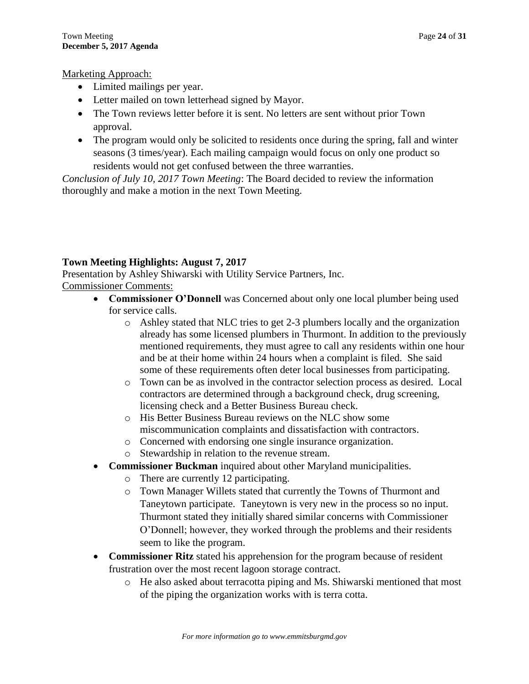## Marketing Approach:

- Limited mailings per year.
- Letter mailed on town letterhead signed by Mayor.
- The Town reviews letter before it is sent. No letters are sent without prior Town approval.
- The program would only be solicited to residents once during the spring, fall and winter seasons (3 times/year). Each mailing campaign would focus on only one product so residents would not get confused between the three warranties.

*Conclusion of July 10, 2017 Town Meeting*: The Board decided to review the information thoroughly and make a motion in the next Town Meeting.

## **Town Meeting Highlights: August 7, 2017**

Presentation by Ashley Shiwarski with Utility Service Partners, Inc. Commissioner Comments:

- **Commissioner O'Donnell** was Concerned about only one local plumber being used for service calls.
	- o Ashley stated that NLC tries to get 2-3 plumbers locally and the organization already has some licensed plumbers in Thurmont. In addition to the previously mentioned requirements, they must agree to call any residents within one hour and be at their home within 24 hours when a complaint is filed. She said some of these requirements often deter local businesses from participating.
	- o Town can be as involved in the contractor selection process as desired. Local contractors are determined through a background check, drug screening, licensing check and a Better Business Bureau check.
	- o His Better Business Bureau reviews on the NLC show some miscommunication complaints and dissatisfaction with contractors.
	- o Concerned with endorsing one single insurance organization.
	- o Stewardship in relation to the revenue stream.
- **Commissioner Buckman** inquired about other Maryland municipalities.
	- o There are currently 12 participating.
	- o Town Manager Willets stated that currently the Towns of Thurmont and Taneytown participate. Taneytown is very new in the process so no input. Thurmont stated they initially shared similar concerns with Commissioner O'Donnell; however, they worked through the problems and their residents seem to like the program.
- **Commissioner Ritz** stated his apprehension for the program because of resident frustration over the most recent lagoon storage contract.
	- o He also asked about terracotta piping and Ms. Shiwarski mentioned that most of the piping the organization works with is terra cotta.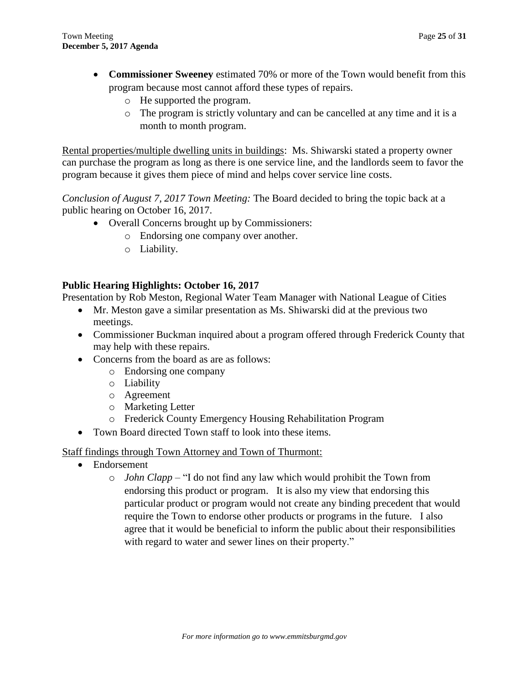- **Commissioner Sweeney** estimated 70% or more of the Town would benefit from this program because most cannot afford these types of repairs.
	- o He supported the program.
	- o The program is strictly voluntary and can be cancelled at any time and it is a month to month program.

Rental properties/multiple dwelling units in buildings: Ms. Shiwarski stated a property owner can purchase the program as long as there is one service line, and the landlords seem to favor the program because it gives them piece of mind and helps cover service line costs.

*Conclusion of August 7, 2017 Town Meeting:* The Board decided to bring the topic back at a public hearing on October 16, 2017.

- Overall Concerns brought up by Commissioners:
	- o Endorsing one company over another.
	- o Liability.

## **Public Hearing Highlights: October 16, 2017**

Presentation by Rob Meston, Regional Water Team Manager with National League of Cities

- Mr. Meston gave a similar presentation as Ms. Shiwarski did at the previous two meetings.
- Commissioner Buckman inquired about a program offered through Frederick County that may help with these repairs.
- Concerns from the board as are as follows:
	- o Endorsing one company
	- o Liability
	- o Agreement
	- o Marketing Letter
	- o Frederick County Emergency Housing Rehabilitation Program
- Town Board directed Town staff to look into these items.

Staff findings through Town Attorney and Town of Thurmont:

- Endorsement
	- o *John Clapp* "I do not find any law which would prohibit the Town from endorsing this product or program. It is also my view that endorsing this particular product or program would not create any binding precedent that would require the Town to endorse other products or programs in the future. I also agree that it would be beneficial to inform the public about their responsibilities with regard to water and sewer lines on their property."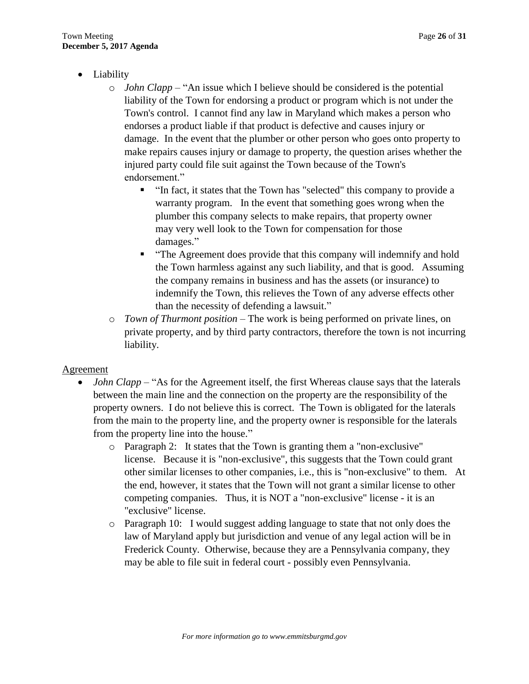- Liability
	- o *John Clapp* "An issue which I believe should be considered is the potential liability of the Town for endorsing a product or program which is not under the Town's control. I cannot find any law in Maryland which makes a person who endorses a product liable if that product is defective and causes injury or damage. In the event that the plumber or other person who goes onto property to make repairs causes injury or damage to property, the question arises whether the injured party could file suit against the Town because of the Town's endorsement."
		- "In fact, it states that the Town has "selected" this company to provide a warranty program. In the event that something goes wrong when the plumber this company selects to make repairs, that property owner may very well look to the Town for compensation for those damages."
		- "The Agreement does provide that this company will indemnify and hold the Town harmless against any such liability, and that is good. Assuming the company remains in business and has the assets (or insurance) to indemnify the Town, this relieves the Town of any adverse effects other than the necessity of defending a lawsuit."
	- o *Town of Thurmont position* The work is being performed on private lines, on private property, and by third party contractors, therefore the town is not incurring liability.

## Agreement

- *John Clapp* "As for the Agreement itself, the first Whereas clause says that the laterals between the main line and the connection on the property are the responsibility of the property owners. I do not believe this is correct. The Town is obligated for the laterals from the main to the property line, and the property owner is responsible for the laterals from the property line into the house."
	- o Paragraph 2: It states that the Town is granting them a "non-exclusive" license. Because it is "non-exclusive", this suggests that the Town could grant other similar licenses to other companies, i.e., this is "non-exclusive" to them. At the end, however, it states that the Town will not grant a similar license to other competing companies. Thus, it is NOT a "non-exclusive" license - it is an "exclusive" license.
	- o Paragraph 10: I would suggest adding language to state that not only does the law of Maryland apply but jurisdiction and venue of any legal action will be in Frederick County. Otherwise, because they are a Pennsylvania company, they may be able to file suit in federal court - possibly even Pennsylvania.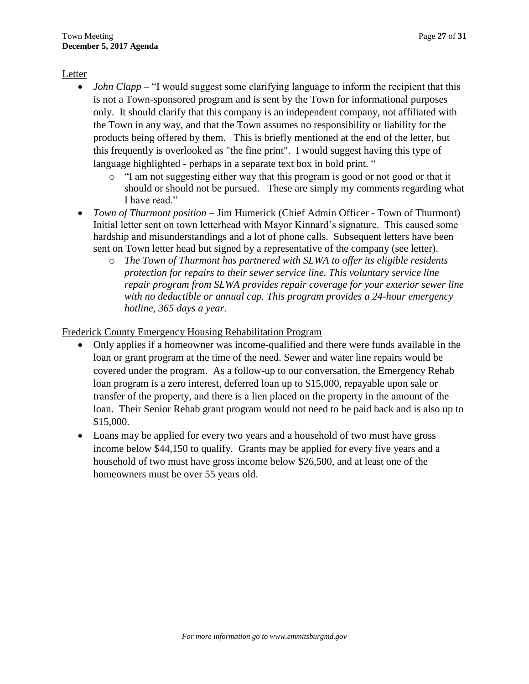## Letter

- *John Clapp* "I would suggest some clarifying language to inform the recipient that this is not a Town-sponsored program and is sent by the Town for informational purposes only. It should clarify that this company is an independent company, not affiliated with the Town in any way, and that the Town assumes no responsibility or liability for the products being offered by them. This is briefly mentioned at the end of the letter, but this frequently is overlooked as "the fine print". I would suggest having this type of language highlighted - perhaps in a separate text box in bold print. "
	- o "I am not suggesting either way that this program is good or not good or that it should or should not be pursued. These are simply my comments regarding what I have read."
- *Town of Thurmont position* Jim Humerick (Chief Admin Officer Town of Thurmont) Initial letter sent on town letterhead with Mayor Kinnard's signature. This caused some hardship and misunderstandings and a lot of phone calls. Subsequent letters have been sent on Town letter head but signed by a representative of the company (see letter).
	- o *The Town of Thurmont has partnered with SLWA to offer its eligible residents protection for repairs to their sewer service line. This voluntary service line repair program from SLWA provides repair coverage for your exterior sewer line with no deductible or annual cap. This program provides a 24-hour emergency hotline, 365 days a year.*

Frederick County Emergency Housing Rehabilitation Program

- Only applies if a homeowner was income-qualified and there were funds available in the loan or grant program at the time of the need. Sewer and water line repairs would be covered under the program. As a follow-up to our conversation, the Emergency Rehab loan program is a zero interest, deferred loan up to \$15,000, repayable upon sale or transfer of the property, and there is a lien placed on the property in the amount of the loan. Their Senior Rehab grant program would not need to be paid back and is also up to \$15,000.
- Loans may be applied for every two years and a household of two must have gross income below \$44,150 to qualify. Grants may be applied for every five years and a household of two must have gross income below \$26,500, and at least one of the homeowners must be over 55 years old.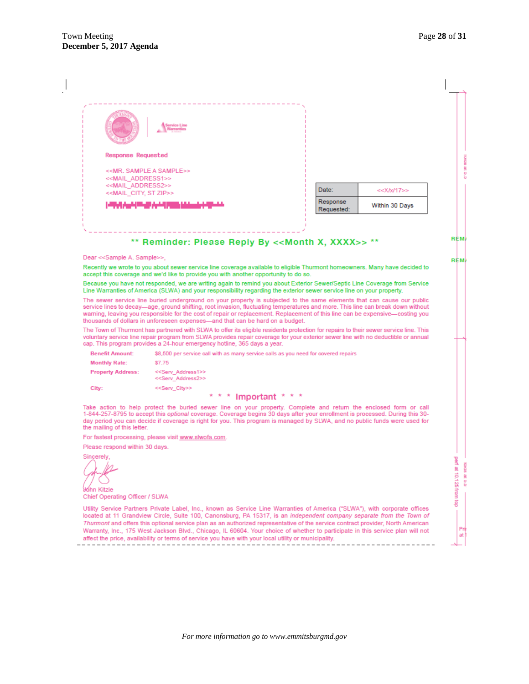|                                                                                                                                                                     | Service Line                                                                                                                                                                                                                                                                                                                                                                                                                             |                   |            |                                 |
|---------------------------------------------------------------------------------------------------------------------------------------------------------------------|------------------------------------------------------------------------------------------------------------------------------------------------------------------------------------------------------------------------------------------------------------------------------------------------------------------------------------------------------------------------------------------------------------------------------------------|-------------------|------------|---------------------------------|
| <b>Response Requested</b>                                                                                                                                           |                                                                                                                                                                                                                                                                                                                                                                                                                                          |                   |            |                                 |
| < <mail address1="">&gt;<br/>&lt;<mail_address2>&gt;<br/>&lt;<mail_city, st="" zip="">&gt;<br/>والمنجار الإيمان إداريين البالات</mail_city,></mail_address2></mail> | < <mr. a="" sample="">&gt;</mr.>                                                                                                                                                                                                                                                                                                                                                                                                         | Date:<br>Response | Requested: | $<<$ X/x/17>><br>Within 30 Days |
|                                                                                                                                                                     | ** Reminder: Please Reply By << Month X, XXXX>> **                                                                                                                                                                                                                                                                                                                                                                                       |                   |            |                                 |
| Dear < <sample a.="" sample="">&gt;,</sample>                                                                                                                       |                                                                                                                                                                                                                                                                                                                                                                                                                                          |                   |            |                                 |
|                                                                                                                                                                     | Recently we wrote to you about sewer service line coverage available to eligible Thurmont homeowners. Many have decided to                                                                                                                                                                                                                                                                                                               |                   |            |                                 |
|                                                                                                                                                                     | accept this coverage and we'd like to provide you with another opportunity to do so.<br>Because you have not responded, we are writing again to remind you about Exterior Sewer/Septic Line Coverage from Service                                                                                                                                                                                                                        |                   |            |                                 |
|                                                                                                                                                                     | Line Warranties of America (SLWA) and your responsibility regarding the exterior sewer service line on your property.                                                                                                                                                                                                                                                                                                                    |                   |            |                                 |
|                                                                                                                                                                     | The sewer service line buried underground on your property is subjected to the same elements that can cause our public<br>service lines to decay—age, ground shifting, root invasion, fluctuating temperatures and more. This line can break down without<br>warning, leaving you responsible for the cost of repair or replacement. Replacement of this line can be expensive—costing you                                               |                   |            |                                 |
|                                                                                                                                                                     |                                                                                                                                                                                                                                                                                                                                                                                                                                          |                   |            |                                 |
|                                                                                                                                                                     | thousands of dollars in unforeseen expenses—and that can be hard on a budget.<br>The Town of Thurmont has partnered with SLWA to offer its eligible residents protection for repairs to their sewer service line. This<br>voluntary service line repair program from SLWA provides repair coverage for your exterior sewer line with no deductible or annual<br>cap. This program provides a 24-hour emergency hotline, 365 days a year. |                   |            |                                 |
| <b>Benefit Amount:</b>                                                                                                                                              | \$8,500 per service call with as many service calls as you need for covered repairs                                                                                                                                                                                                                                                                                                                                                      |                   |            |                                 |
| <b>Monthly Rate:</b>                                                                                                                                                | \$7.75                                                                                                                                                                                                                                                                                                                                                                                                                                   |                   |            |                                 |
| <b>Property Address:</b>                                                                                                                                            | < <serv_address1>&gt;<br/>&lt;<serv_address2>&gt;</serv_address2></serv_address1>                                                                                                                                                                                                                                                                                                                                                        |                   |            |                                 |
| City:                                                                                                                                                               | < <serv_city>&gt;</serv_city>                                                                                                                                                                                                                                                                                                                                                                                                            |                   |            |                                 |
| the mailing of this letter.                                                                                                                                         | * * * Important * * *<br>Take action to help protect the buried sewer line on your property. Complete and return the enclosed form or call<br>1-844-257-8795 to accept this optional coverage. Coverage begins 30 days after your enrollment is processed. During this 30-<br>day period you can decide if coverage is right for you. This program is managed by SLWA, and no public funds were used for                                 |                   |            |                                 |
|                                                                                                                                                                     | For fastest processing, please visit www.slwofa.com.                                                                                                                                                                                                                                                                                                                                                                                     |                   |            |                                 |
| Please respond within 30 days.                                                                                                                                      |                                                                                                                                                                                                                                                                                                                                                                                                                                          |                   |            |                                 |
| Sincerely                                                                                                                                                           |                                                                                                                                                                                                                                                                                                                                                                                                                                          |                   |            |                                 |
| óhn Kitzie                                                                                                                                                          |                                                                                                                                                                                                                                                                                                                                                                                                                                          |                   |            |                                 |
| Chief Operating Officer / SLWA                                                                                                                                      | Utility Service Partners Private Label, Inc., known as Service Line Warranties of America ("SLWA"), with corporate offices                                                                                                                                                                                                                                                                                                               |                   |            |                                 |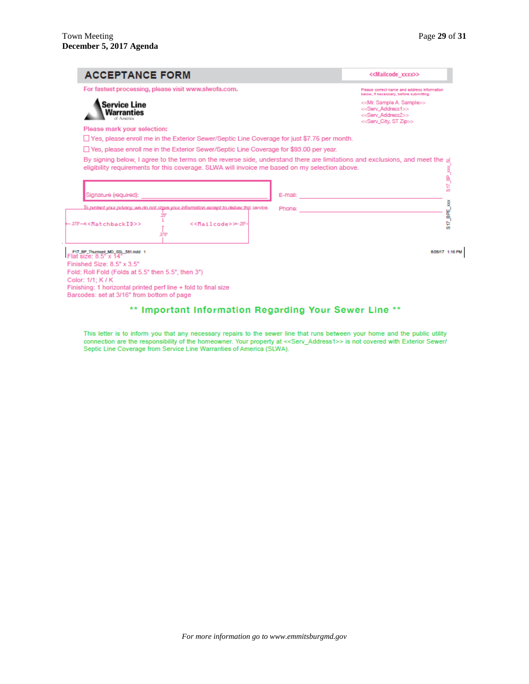| <b>ACCEPTANCE FORM</b>                                                                                 | < <mailcode xxxx="">&gt;</mailcode>                                                                                                                                          |
|--------------------------------------------------------------------------------------------------------|------------------------------------------------------------------------------------------------------------------------------------------------------------------------------|
| For fastest processing, please visit www.slwofa.com.                                                   | Please correct name and address information<br>below, if necessary, before submitting.                                                                                       |
| Service Line<br>Warranties                                                                             | < <mr. a.="" sample="">&gt;<br/>&lt;<serv_address1>&gt;<br/>&lt;<serv_address2>&gt;<br/>&lt;<serv_city, st="" zip="">&gt;</serv_city,></serv_address2></serv_address1></mr.> |
| Please mark your selection:                                                                            |                                                                                                                                                                              |
| $\Box$ Yes, please enroll me in the Exterior Sewer/Septic Line Coverage for just \$7.75 per month.     |                                                                                                                                                                              |
| $\Box$ Yes, please enroll me in the Exterior Sewer/Septic Line Coverage for \$93.00 per year.          |                                                                                                                                                                              |
| eligibility requirements for this coverage. SLWA will invoice me based on my selection above.          |                                                                                                                                                                              |
| Signature (required):                                                                                  | E-mail:                                                                                                                                                                      |
| To protect your privacy, we do not share your information except to deliver this service.              | Phone:                                                                                                                                                                       |
| 25<br>< <mailcode>&gt;+29-<br/>375'</mailcode>                                                         |                                                                                                                                                                              |
| -375-K <matchbackid>&gt;<br/>F17_BP_Thurmont_MD_SSL_561.indd 1<br/>Flat size: 8.5" x 14"</matchbackid> | 8/26/17 1:16 PM                                                                                                                                                              |

## \*\* Important Information Regarding Your Sewer Line \*\*

This letter is to inform you that any necessary repairs to the sewer line that runs between your home and the public utility connection are the responsibility of the homeowner. Your property at <<Serv\_Address1>> is not cov Septic Line Coverage from Service Line Warranties of America (SLWA).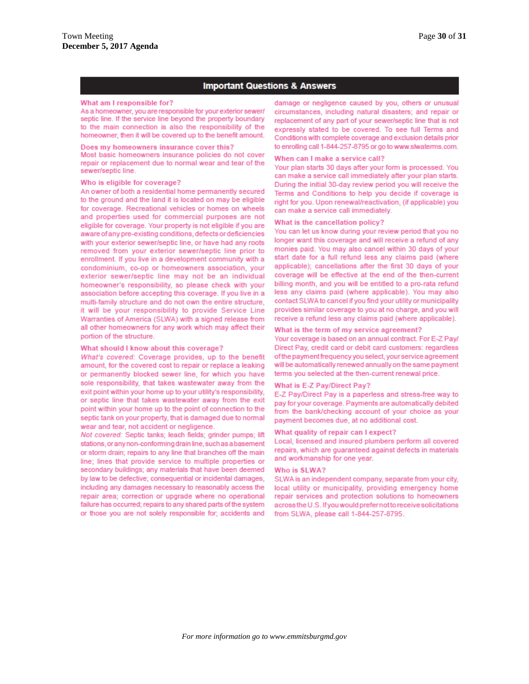#### **Important Questions & Answers**

#### What am I responsible for?

As a homeowner, you are responsible for your exterior sewer/ septic line. If the service line beyond the property boundary to the main connection is also the responsibility of the homeowner, then it will be covered up to the benefit amount.

#### Does my homeowners insurance cover this?

Most basic homeowners insurance policies do not cover repair or replacement due to normal wear and tear of the sewer/septic line.

#### Who is eligible for coverage?

An owner of both a residential home permanently secured to the ground and the land it is located on may be eligible for coverage. Recreational vehicles or homes on wheels and properties used for commercial purposes are not eligible for coverage. Your property is not eligible if you are aware of any pre-existing conditions, defects or deficiencies with your exterior sewer/septic line, or have had any roots removed from your exterior sewer/septic line prior to enrollment. If you live in a development community with a condominium, co-op or homeowners association, your exterior sewer/septic line may not be an individual homeowner's responsibility, so please check with your association before accepting this coverage. If you live in a multi-family structure and do not own the entire structure, it will be your responsibility to provide Service Line Warranties of America (SLWA) with a signed release from all other homeowners for any work which may affect their portion of the structure.

#### What should I know about this coverage?

What's covered: Coverage provides, up to the benefit amount, for the covered cost to repair or replace a leaking or permanently blocked sewer line, for which you have sole responsibility, that takes wastewater away from the exit point within your home up to your utility's responsibility, or septic line that takes wastewater away from the exit point within your home up to the point of connection to the septic tank on your property, that is damaged due to normal wear and tear, not accident or negligence.

Not covered: Septic tanks; leach fields; grinder pumps; lift stations, or any non-conforming drain line, such as a basement or storm drain; repairs to any line that branches off the main line; lines that provide service to multiple properties or secondary buildings; any materials that have been deemed by law to be defective; consequential or incidental damages, including any damages necessary to reasonably access the repair area; correction or upgrade where no operational failure has occurred; repairs to any shared parts of the system or those you are not solely responsible for; accidents and

damage or negligence caused by you, others or unusual circumstances, including natural disasters; and repair or replacement of any part of your sewer/septic line that is not expressly stated to be covered. To see full Terms and Conditions with complete coverage and exclusion details prior to enrolling call 1-844-257-8795 or go to www.slwaterms.com.

#### When can I make a service call?

Your plan starts 30 days after your form is processed. You can make a service call immediately after your plan starts. During the initial 30-day review period you will receive the Terms and Conditions to help you decide if coverage is right for you. Upon renewal/reactivation, (if applicable) you can make a service call immediately.

#### What is the cancellation policy?

You can let us know during your review period that you no longer want this coverage and will receive a refund of any monies paid. You may also cancel within 30 days of your start date for a full refund less any claims paid (where applicable); cancellations after the first 30 days of your coverage will be effective at the end of the then-current billing month, and you will be entitled to a pro-rata refund less any claims paid (where applicable). You may also contact SLWA to cancel if you find your utility or municipality provides similar coverage to you at no charge, and you will receive a refund less any claims paid (where applicable).

#### What is the term of my service agreement?

Your coverage is based on an annual contract. For E-Z Pay/ Direct Pay, credit card or debit card customers: regardless of the payment frequency you select, your service agreement will be automatically renewed annually on the same payment terms you selected at the then-current renewal price.

#### What is E-Z Pay/Direct Pay?

E-Z Pay/Direct Pay is a paperless and stress-free way to pay for your coverage. Payments are automatically debited from the bank/checking account of your choice as your payment becomes due, at no additional cost.

#### What quality of repair can I expect?

Local, licensed and insured plumbers perform all covered repairs, which are guaranteed against defects in materials and workmanship for one year.

#### Who is SLWA?

SLWA is an independent company, separate from your city, local utility or municipality, providing emergency home repair services and protection solutions to homeowners across the U.S. If you would prefer not to receive solicitations from SLWA, please call 1-844-257-8795.